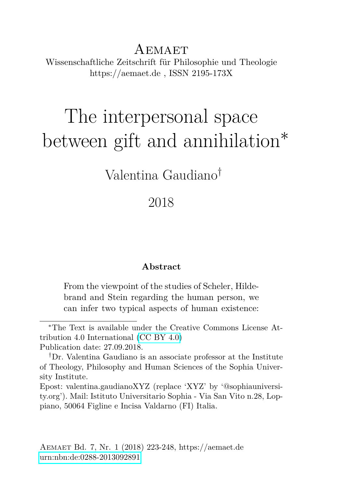AEMAET Wissenschaftliche Zeitschrift für Philosophie und Theologie https://aemaet.de , ISSN 2195-173X

# The interpersonal space between gift and annihilation<sup>∗</sup>

Valentina Gaudiano†

#### 2018

#### **Abstract**

From the viewpoint of the studies of Scheler, Hildebrand and Stein regarding the human person, we can infer two typical aspects of human existence:

Epost: valentina.gaudianoXYZ (replace 'XYZ' by '@sophiauniversity.org'). Mail: Istituto Universitario Sophia - Via San Vito n.28, Loppiano, 50064 Figline e Incisa Valdarno (FI) Italia.

<sup>∗</sup>The Text is available under the Creative Commons License Attribution 4.0 International [\(CC BY 4.0\)](https://creativecommons.org/licenses/by/4.0/deed.en) Publication date: 27.09.2018.

<sup>†</sup>Dr. Valentina Gaudiano is an associate professor at the Institute of Theology, Philosophy and Human Sciences of the Sophia University Institute.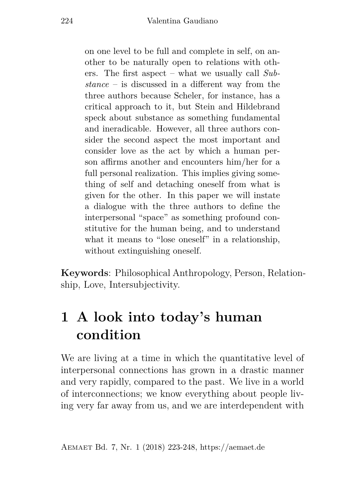on one level to be full and complete in self, on another to be naturally open to relations with others. The first aspect – what we usually call *Substance* – is discussed in a different way from the three authors because Scheler, for instance, has a critical approach to it, but Stein and Hildebrand speck about substance as something fundamental and ineradicable. However, all three authors consider the second aspect the most important and consider love as the act by which a human person affirms another and encounters him/her for a full personal realization. This implies giving something of self and detaching oneself from what is given for the other. In this paper we will instate a dialogue with the three authors to define the interpersonal "space" as something profound constitutive for the human being, and to understand what it means to "lose oneself" in a relationship, without extinguishing oneself.

**Keywords**: Philosophical Anthropology, Person, Relationship, Love, Intersubjectivity.

# **1 A look into today's human condition**

We are living at a time in which the quantitative level of interpersonal connections has grown in a drastic manner and very rapidly, compared to the past. We live in a world of interconnections; we know everything about people living very far away from us, and we are interdependent with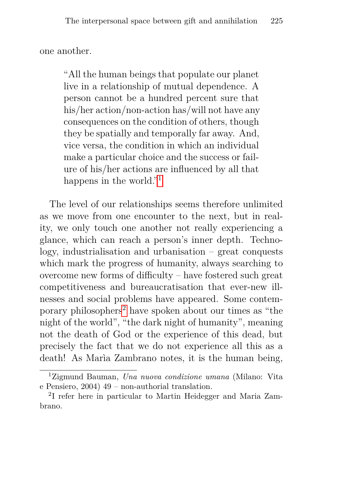one another.

"All the human beings that populate our planet live in a relationship of mutual dependence. A person cannot be a hundred percent sure that his/her action/non-action has/will not have any consequences on the condition of others, though they be spatially and temporally far away. And, vice versa, the condition in which an individual make a particular choice and the success or failure of his/her actions are influenced by all that happens in the world."<sup>[1](#page-2-0)</sup>

The level of our relationships seems therefore unlimited as we move from one encounter to the next, but in reality, we only touch one another not really experiencing a glance, which can reach a person's inner depth. Technology, industrialisation and urbanisation – great conquests which mark the progress of humanity, always searching to overcome new forms of difficulty – have fostered such great competitiveness and bureaucratisation that ever-new illnesses and social problems have appeared. Some contemporary philosophers[2](#page-2-1) have spoken about our times as "the night of the world", "the dark night of humanity", meaning not the death of God or the experience of this dead, but precisely the fact that we do not experience all this as a death! As Marìa Zambrano notes, it is the human being,

<span id="page-2-0"></span><sup>1</sup>Zigmund Bauman, *Una nuova condizione umana* (Milano: Vita e Pensiero, 2004) 49 – non-authorial translation.

<span id="page-2-1"></span><sup>2</sup> I refer here in particular to Martin Heidegger and Maria Zambrano.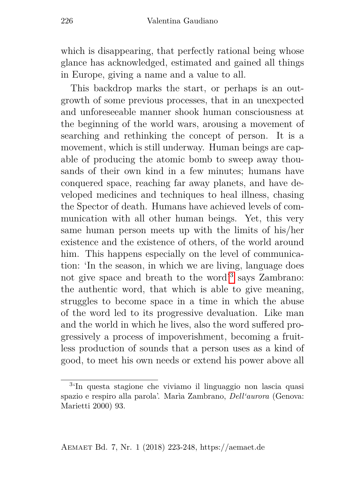which is disappearing, that perfectly rational being whose glance has acknowledged, estimated and gained all things in Europe, giving a name and a value to all.

This backdrop marks the start, or perhaps is an outgrowth of some previous processes, that in an unexpected and unforeseeable manner shook human consciousness at the beginning of the world wars, arousing a movement of searching and rethinking the concept of person. It is a movement, which is still underway. Human beings are capable of producing the atomic bomb to sweep away thousands of their own kind in a few minutes; humans have conquered space, reaching far away planets, and have developed medicines and techniques to heal illness, chasing the Spector of death. Humans have achieved levels of communication with all other human beings. Yet, this very same human person meets up with the limits of his/her existence and the existence of others, of the world around him. This happens especially on the level of communication: 'In the season, in which we are living, language does not give space and breath to the word'[3](#page-3-0) says Zambrano: the authentic word, that which is able to give meaning, struggles to become space in a time in which the abuse of the word led to its progressive devaluation. Like man and the world in which he lives, also the word suffered progressively a process of impoverishment, becoming a fruitless production of sounds that a person uses as a kind of good, to meet his own needs or extend his power above all

<span id="page-3-0"></span><sup>3</sup> 'In questa stagione che viviamo il linguaggio non lascia quasi spazio e respiro alla parola'. Marìa Zambrano, *Dell'aurora* (Genova: Marietti 2000) 93.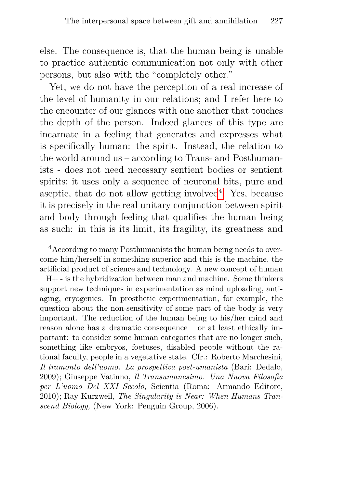else. The consequence is, that the human being is unable to practice authentic communication not only with other persons, but also with the "completely other."

Yet, we do not have the perception of a real increase of the level of humanity in our relations; and I refer here to the encounter of our glances with one another that touches the depth of the person. Indeed glances of this type are incarnate in a feeling that generates and expresses what is specifically human: the spirit. Instead, the relation to the world around us – according to Trans- and Posthumanists - does not need necessary sentient bodies or sentient spirits; it uses only a sequence of neuronal bits, pure and aseptic, that do not allow getting involved<sup>[4](#page-4-0)</sup>. Yes, because it is precisely in the real unitary conjunction between spirit and body through feeling that qualifies the human being as such: in this is its limit, its fragility, its greatness and

<span id="page-4-0"></span><sup>4</sup>According to many Posthumanists the human being needs to overcome him/herself in something superior and this is the machine, the artificial product of science and technology. A new concept of human  $-H+$  - is the hybridization between man and machine. Some thinkers support new techniques in experimentation as mind uploading, antiaging, cryogenics. In prosthetic experimentation, for example, the question about the non-sensitivity of some part of the body is very important. The reduction of the human being to his/her mind and reason alone has a dramatic consequence – or at least ethically important: to consider some human categories that are no longer such, something like embryos, foetuses, disabled people without the rational faculty, people in a vegetative state. Cfr.: Roberto Marchesini, *Il tramonto dell'uomo. La prospettiva post-umanista* (Bari: Dedalo, 2009); Giuseppe Vatinno, *Il Transumanesimo. Una Nuova Filosofia per L'uomo Del XXI Secolo*, Scientia (Roma: Armando Editore, 2010); Ray Kurzweil, *The Singularity is Near: When Humans Transcend Biology,* (New York: Penguin Group, 2006).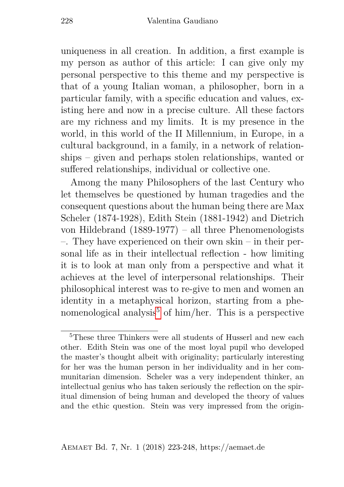uniqueness in all creation. In addition, a first example is my person as author of this article: I can give only my personal perspective to this theme and my perspective is that of a young Italian woman, a philosopher, born in a particular family, with a specific education and values, existing here and now in a precise culture. All these factors are my richness and my limits. It is my presence in the world, in this world of the II Millennium, in Europe, in a cultural background, in a family, in a network of relationships – given and perhaps stolen relationships, wanted or suffered relationships, individual or collective one.

Among the many Philosophers of the last Century who let themselves be questioned by human tragedies and the consequent questions about the human being there are Max Scheler (1874-1928), Edith Stein (1881-1942) and Dietrich von Hildebrand (1889-1977) – all three Phenomenologists –. They have experienced on their own skin – in their personal life as in their intellectual reflection - how limiting it is to look at man only from a perspective and what it achieves at the level of interpersonal relationships. Their philosophical interest was to re-give to men and women an identity in a metaphysical horizon, starting from a phe-nomenological analysis<sup>[5](#page-5-0)</sup> of him/her. This is a perspective

<span id="page-5-0"></span><sup>&</sup>lt;sup>5</sup>These three Thinkers were all students of Husserl and new each other. Edith Stein was one of the most loyal pupil who developed the master's thought albeit with originality; particularly interesting for her was the human person in her individuality and in her communitarian dimension. Scheler was a very independent thinker, an intellectual genius who has taken seriously the reflection on the spiritual dimension of being human and developed the theory of values and the ethic question. Stein was very impressed from the origin-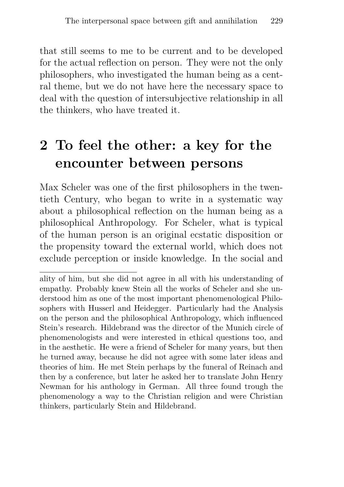that still seems to me to be current and to be developed for the actual reflection on person. They were not the only philosophers, who investigated the human being as a central theme, but we do not have here the necessary space to deal with the question of intersubjective relationship in all the thinkers, who have treated it.

## **2 To feel the other: a key for the encounter between persons**

Max Scheler was one of the first philosophers in the twentieth Century, who began to write in a systematic way about a philosophical reflection on the human being as a philosophical Anthropology. For Scheler, what is typical of the human person is an original ecstatic disposition or the propensity toward the external world, which does not exclude perception or inside knowledge. In the social and

ality of him, but she did not agree in all with his understanding of empathy. Probably knew Stein all the works of Scheler and she understood him as one of the most important phenomenological Philosophers with Husserl and Heidegger. Particularly had the Analysis on the person and the philosophical Anthropology, which influenced Stein's research. Hildebrand was the director of the Munich circle of phenomenologists and were interested in ethical questions too, and in the aesthetic. He were a friend of Scheler for many years, but then he turned away, because he did not agree with some later ideas and theories of him. He met Stein perhaps by the funeral of Reinach and then by a conference, but later he asked her to translate John Henry Newman for his anthology in German. All three found trough the phenomenology a way to the Christian religion and were Christian thinkers, particularly Stein and Hildebrand.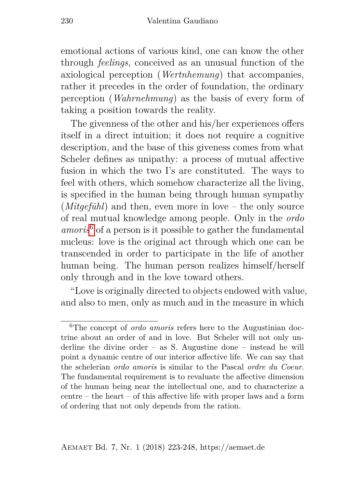emotional actions of various kind, one can know the other through *feelings*, conceived as an unusual function of the axiological perception (*Wertnhemung*) that accompanies, rather it precedes in the order of foundation, the ordinary perception (*Wahrnehmung*) as the basis of every form of taking a position towards the reality.

The givenness of the other and his/her experiences offers itself in a direct intuition; it does not require a cognitive description, and the base of this giveness comes from what Scheler defines as unipathy: a process of mutual affective fusion in which the two I's are constituted. The ways to feel with others, which somehow characterize all the living, is specified in the human being through human sympathy (*Mitgefühl*) and then, even more in love – the only source of real mutual knowledge among people. Only in the *ordo amoris*[6](#page-7-0) of a person is it possible to gather the fundamental nucleus: love is the original act through which one can be transcended in order to participate in the life of another human being. The human person realizes himself/herself only through and in the love toward others.

"Love is originally directed to objects endowed with value, and also to men, only as much and in the measure in which

<span id="page-7-0"></span><sup>6</sup>The concept of *ordo amoris* refers here to the Augustinian doctrine about an order of and in love. But Scheler will not only underline the divine order – as S. Augustine done – instead he will point a dynamic centre of our interior affective life. We can say that the schelerian *ordo amoris* is similar to the Pascal *ordre du Coeur*. The fundamental requirement is to revaluate the affective dimension of the human being near the intellectual one, and to characterize a centre – the heart – of this affective life with proper laws and a form of ordering that not only depends from the ration.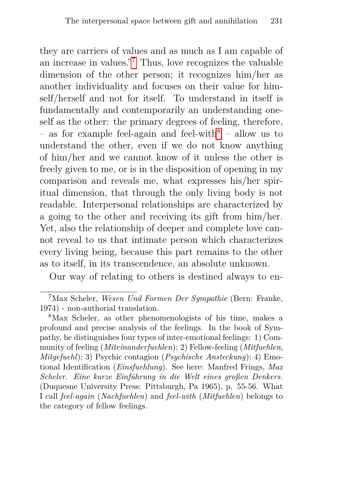they are carriers of values and as much as I am capable of an increase in values."[7](#page-8-0) Thus, love recognizes the valuable dimension of the other person; it recognizes him/her as another individuality and focuses on their value for himself/herself and not for itself. To understand in itself is fundamentally and contemporarily an understanding oneself as the other: the primary degrees of feeling, therefore, – as for example feel-again and feel-with[8](#page-8-1) *–* allow us to understand the other, even if we do not know anything of him/her and we cannot know of it unless the other is freely given to me, or is in the disposition of opening in my comparison and reveals me, what expresses his/her spiritual dimension, that through the only living body is not readable. Interpersonal relationships are characterized by a going to the other and receiving its gift from him/her. Yet, also the relationship of deeper and complete love cannot reveal to us that intimate person which characterizes every living being, because this part remains to the other as to itself, in its transcendence, an absolute unknown.

Our way of relating to others is destined always to en-

<span id="page-8-0"></span><sup>7</sup>Max Scheler, *Wesen Und Formen Der Sympathie* (Bern: Franke, 1974) - non-authorial translation.

<span id="page-8-1"></span><sup>8</sup>Max Scheler, as other phenomenologists of his time, makes a profound and precise analysis of the feelings. In the book of Sympathy, he distinguishes four types of inter-emotional feelings: 1) Community of feeling (*Miteinanderfuehlen*); 2) Fellow-feeling (*Mitfuehlen*, *Mitgefuehl*); 3) Psychic contagion (*Psychische Ansteckung*); 4) Emotional Identification (*Einsfuehlung*). See here: Manfred Frings, *Max Scheler. Eine kurze Einführung in die Welt eines großen Denkers.* (Duquesne University Press: Pittsburgh, Pa 1965), p. 55-56. What I call *feel-again* (*Nachfuehlen*) and *feel-with* (*Mitfuehlen*) belongs to the category of fellow feelings.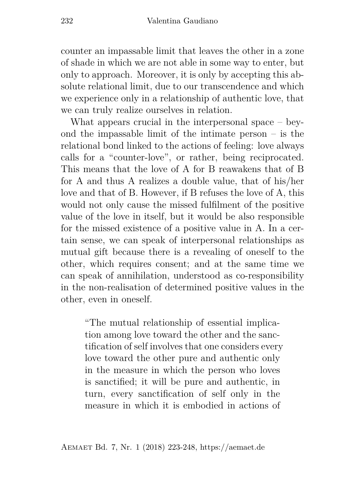counter an impassable limit that leaves the other in a zone of shade in which we are not able in some way to enter, but only to approach. Moreover, it is only by accepting this absolute relational limit, due to our transcendence and which we experience only in a relationship of authentic love, that we can truly realize ourselves in relation.

What appears crucial in the interpersonal space – beyond the impassable limit of the intimate person – is the relational bond linked to the actions of feeling: love always calls for a "counter-love", or rather, being reciprocated. This means that the love of A for B reawakens that of B for A and thus A realizes a double value, that of his/her love and that of B. However, if B refuses the love of A, this would not only cause the missed fulfilment of the positive value of the love in itself, but it would be also responsible for the missed existence of a positive value in A. In a certain sense, we can speak of interpersonal relationships as mutual gift because there is a revealing of oneself to the other, which requires consent; and at the same time we can speak of annihilation, understood as co-responsibility in the non-realisation of determined positive values in the other, even in oneself.

"The mutual relationship of essential implication among love toward the other and the sanctification of self involves that one considers every love toward the other pure and authentic only in the measure in which the person who loves is sanctified; it will be pure and authentic, in turn, every sanctification of self only in the measure in which it is embodied in actions of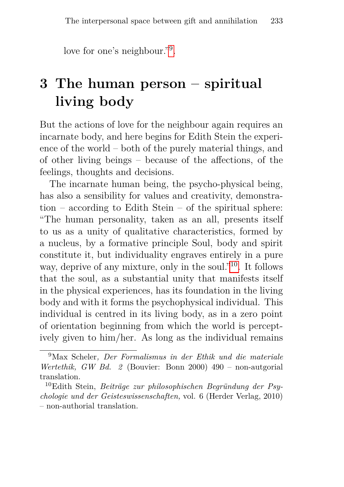love for one's neighbour."[9](#page-10-0) .

# **3 The human person – spiritual living body**

But the actions of love for the neighbour again requires an incarnate body, and here begins for Edith Stein the experience of the world – both of the purely material things, and of other living beings – because of the affections, of the feelings, thoughts and decisions.

The incarnate human being, the psycho-physical being, has also a sensibility for values and creativity, demonstration – according to Edith Stein – of the spiritual sphere: "The human personality, taken as an all, presents itself to us as a unity of qualitative characteristics, formed by a nucleus, by a formative principle Soul, body and spirit constitute it, but individuality engraves entirely in a pure way, deprive of any mixture, only in the soul."<sup>[10](#page-10-1)</sup>. It follows that the soul, as a substantial unity that manifests itself in the physical experiences, has its foundation in the living body and with it forms the psychophysical individual. This individual is centred in its living body, as in a zero point of orientation beginning from which the world is perceptively given to him/her. As long as the individual remains

<span id="page-10-0"></span><sup>9</sup>Max Scheler*, Der Formalismus in der Ethik und die materiale Wertethik, GW Bd. 2* (Bouvier: Bonn 2000) 490 – non-autgorial translation.

<span id="page-10-1"></span><sup>10</sup>Edith Stein, *Beiträge zur philosophischen Begründung der Psychologie und der Geisteswissenschaften,* vol. 6 (Herder Verlag, 2010) – non-authorial translation.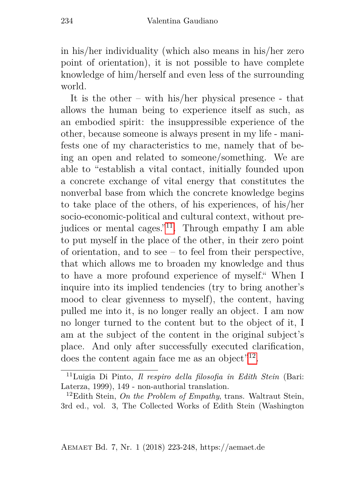in his/her individuality (which also means in his/her zero point of orientation), it is not possible to have complete knowledge of him/herself and even less of the surrounding world.

It is the other – with his/her physical presence - that allows the human being to experience itself as such, as an embodied spirit: the insuppressible experience of the other, because someone is always present in my life - manifests one of my characteristics to me, namely that of being an open and related to someone/something. We are able to "establish a vital contact, initially founded upon a concrete exchange of vital energy that constitutes the nonverbal base from which the concrete knowledge begins to take place of the others, of his experiences, of his/her socio-economic-political and cultural context, without pre-judices or mental cages."<sup>[11](#page-11-0)</sup>. Through empathy I am able to put myself in the place of the other, in their zero point of orientation, and to see – to feel from their perspective, that which allows me to broaden my knowledge and thus to have a more profound experience of myself." When I inquire into its implied tendencies (try to bring another's mood to clear givenness to myself), the content, having pulled me into it, is no longer really an object. I am now no longer turned to the content but to the object of it, I am at the subject of the content in the original subject's place. And only after successfully executed clarification, does the content again face me as an object"<sup>[12](#page-11-1)</sup>.

<span id="page-11-0"></span><sup>11</sup>Luigia Di Pinto, *Il respiro della filosofia in Edith Stein* (Bari: Laterza, 1999), 149 - non-authorial translation.

<span id="page-11-1"></span><sup>12</sup>Edith Stein, *On the Problem of Empathy*, trans. Waltraut Stein, 3rd ed., vol. 3, The Collected Works of Edith Stein (Washington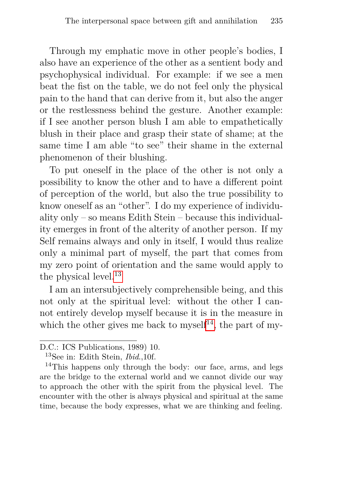Through my emphatic move in other people's bodies, I also have an experience of the other as a sentient body and psychophysical individual. For example: if we see a men beat the fist on the table, we do not feel only the physical pain to the hand that can derive from it, but also the anger or the restlessness behind the gesture. Another example: if I see another person blush I am able to empathetically blush in their place and grasp their state of shame; at the same time I am able "to see" their shame in the external phenomenon of their blushing.

To put oneself in the place of the other is not only a possibility to know the other and to have a different point of perception of the world, but also the true possibility to know oneself as an "other". I do my experience of individuality only – so means Edith Stein – because this individuality emerges in front of the alterity of another person. If my Self remains always and only in itself, I would thus realize only a minimal part of myself, the part that comes from my zero point of orientation and the same would apply to the physical level.<sup>[13](#page-12-0)</sup>

I am an intersubjectively comprehensible being, and this not only at the spiritual level: without the other I cannot entirely develop myself because it is in the measure in which the other gives me back to myself<sup>[14](#page-12-1)</sup>, the part of my-

D.C.: ICS Publications, 1989) 10.

<span id="page-12-1"></span><span id="page-12-0"></span><sup>13</sup>See in: Edith Stein, *Ibid*.,10f.

<sup>&</sup>lt;sup>14</sup>This happens only through the body: our face, arms, and legs are the bridge to the external world and we cannot divide our way to approach the other with the spirit from the physical level. The encounter with the other is always physical and spiritual at the same time, because the body expresses, what we are thinking and feeling.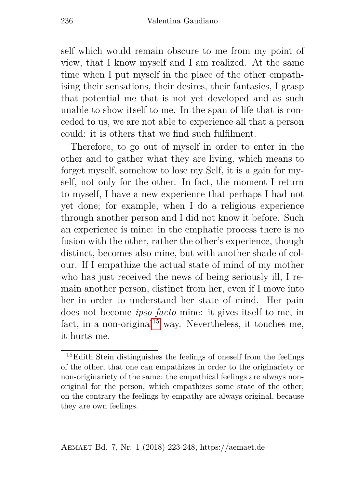self which would remain obscure to me from my point of view, that I know myself and I am realized. At the same time when I put myself in the place of the other empathising their sensations, their desires, their fantasies, I grasp that potential me that is not yet developed and as such unable to show itself to me. In the span of life that is conceded to us, we are not able to experience all that a person could: it is others that we find such fulfilment.

Therefore, to go out of myself in order to enter in the other and to gather what they are living, which means to forget myself, somehow to lose my Self, it is a gain for myself, not only for the other. In fact, the moment I return to myself, I have a new experience that perhaps I had not yet done; for example, when I do a religious experience through another person and I did not know it before. Such an experience is mine: in the emphatic process there is no fusion with the other, rather the other's experience, though distinct, becomes also mine, but with another shade of colour. If I empathize the actual state of mind of my mother who has just received the news of being seriously ill. I remain another person, distinct from her, even if I move into her in order to understand her state of mind. Her pain does not become *ipso facto* mine: it gives itself to me, in fact, in a non-original<sup>[15](#page-13-0)</sup> way. Nevertheless, it touches me, it hurts me.

<span id="page-13-0"></span><sup>&</sup>lt;sup>15</sup>Edith Stein distinguishes the feelings of oneself from the feelings of the other, that one can empathizes in order to the originariety or non-originariety of the same: the empathical feelings are always nonoriginal for the person, which empathizes some state of the other; on the contrary the feelings by empathy are always original, because they are own feelings.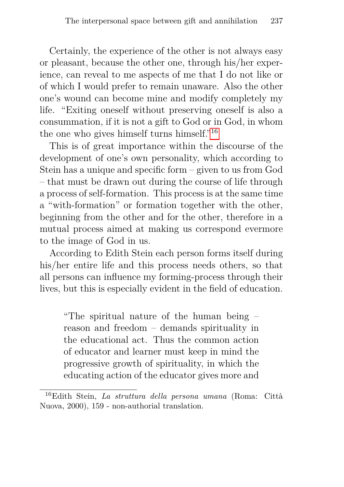Certainly, the experience of the other is not always easy or pleasant, because the other one, through his/her experience, can reveal to me aspects of me that I do not like or of which I would prefer to remain unaware. Also the other one's wound can become mine and modify completely my life. "Exiting oneself without preserving oneself is also a consummation, if it is not a gift to God or in God, in whom the one who gives himself turns himself."[16](#page-14-0)

This is of great importance within the discourse of the development of one's own personality, which according to Stein has a unique and specific form – given to us from God – that must be drawn out during the course of life through a process of self-formation. This process is at the same time a "with-formation" or formation together with the other, beginning from the other and for the other, therefore in a mutual process aimed at making us correspond evermore to the image of God in us.

According to Edith Stein each person forms itself during his/her entire life and this process needs others, so that all persons can influence my forming-process through their lives, but this is especially evident in the field of education.

"The spiritual nature of the human being – reason and freedom – demands spirituality in the educational act. Thus the common action of educator and learner must keep in mind the progressive growth of spirituality, in which the educating action of the educator gives more and

<span id="page-14-0"></span><sup>16</sup>Edith Stein, *La struttura della persona umana* (Roma: Città Nuova, 2000), 159 - non-authorial translation.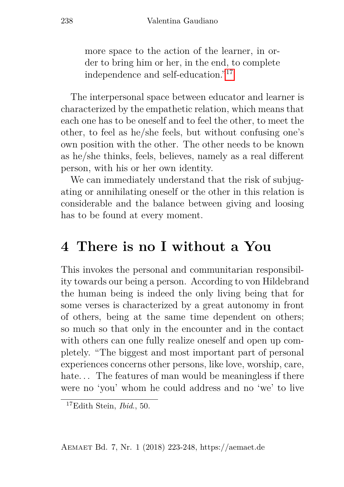more space to the action of the learner, in order to bring him or her, in the end, to complete independence and self-education."[17](#page-15-0)

The interpersonal space between educator and learner is characterized by the empathetic relation, which means that each one has to be oneself and to feel the other, to meet the other, to feel as he/she feels, but without confusing one's own position with the other. The other needs to be known as he/she thinks, feels, believes, namely as a real different person, with his or her own identity.

We can immediately understand that the risk of subjugating or annihilating oneself or the other in this relation is considerable and the balance between giving and loosing has to be found at every moment.

#### **4 There is no I without a You**

This invokes the personal and communitarian responsibility towards our being a person. According to von Hildebrand the human being is indeed the only living being that for some verses is characterized by a great autonomy in front of others, being at the same time dependent on others; so much so that only in the encounter and in the contact with others can one fully realize oneself and open up completely. "The biggest and most important part of personal experiences concerns other persons, like love, worship, care, hate... The features of man would be meaningless if there were no 'you' whom he could address and no 'we' to live

<span id="page-15-0"></span><sup>17</sup>Edith Stein, *Ibid*., 50.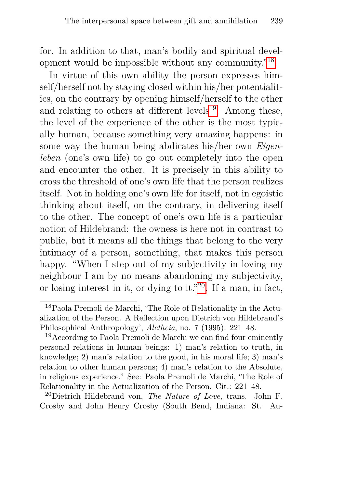for. In addition to that, man's bodily and spiritual development would be impossible without any community."[18](#page-16-0) .

In virtue of this own ability the person expresses himself/herself not by staying closed within his/her potentialities, on the contrary by opening himself/herself to the other and relating to others at different levels $19$ . Among these, the level of the experience of the other is the most typically human, because something very amazing happens: in some way the human being abdicates his/her own *Eigenleben* (one's own life) to go out completely into the open and encounter the other. It is precisely in this ability to cross the threshold of one's own life that the person realizes itself. Not in holding one's own life for itself, not in egoistic thinking about itself, on the contrary, in delivering itself to the other. The concept of one's own life is a particular notion of Hildebrand: the owness is here not in contrast to public, but it means all the things that belong to the very intimacy of a person, something, that makes this person happy. "When I step out of my subjectivity in loving my neighbour I am by no means abandoning my subjectivity, or losing interest in it, or dying to it."<sup>[20](#page-16-2)</sup>. If a man, in fact,

<span id="page-16-0"></span><sup>18</sup>Paola Premoli de Marchi, 'The Role of Relationality in the Actualization of the Person. A Reflection upon Dietrich von Hildebrand's Philosophical Anthropology', *Aletheia*, no. 7 (1995): 221–48.

<span id="page-16-1"></span><sup>&</sup>lt;sup>19</sup> According to Paola Premoli de Marchi we can find four eminently personal relations in human beings: 1) man's relation to truth, in knowledge; 2) man's relation to the good, in his moral life; 3) man's relation to other human persons; 4) man's relation to the Absolute, in religious experience." See: Paola Premoli de Marchi, 'The Role of Relationality in the Actualization of the Person. Cit.: 221–48.

<span id="page-16-2"></span><sup>20</sup>Dietrich Hildebrand von, *The Nature of Love*, trans. John F. Crosby and John Henry Crosby (South Bend, Indiana: St. Au-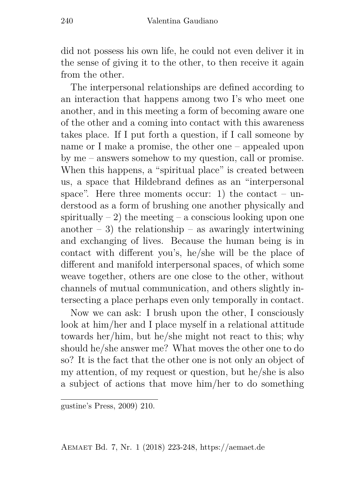did not possess his own life, he could not even deliver it in the sense of giving it to the other, to then receive it again from the other.

The interpersonal relationships are defined according to an interaction that happens among two I's who meet one another, and in this meeting a form of becoming aware one of the other and a coming into contact with this awareness takes place. If I put forth a question, if I call someone by name or I make a promise, the other one – appealed upon by me – answers somehow to my question, call or promise. When this happens, a "spiritual place" is created between us, a space that Hildebrand defines as an "interpersonal space". Here three moments occur: 1) the contact – understood as a form of brushing one another physically and spiritually  $-2$ ) the meeting  $-$  a conscious looking upon one another  $-3$ ) the relationship – as awaringly intertwining and exchanging of lives. Because the human being is in contact with different you's, he/she will be the place of different and manifold interpersonal spaces, of which some weave together, others are one close to the other, without channels of mutual communication, and others slightly intersecting a place perhaps even only temporally in contact.

Now we can ask: I brush upon the other, I consciously look at him/her and I place myself in a relational attitude towards her/him, but he/she might not react to this; why should he/she answer me? What moves the other one to do so? It is the fact that the other one is not only an object of my attention, of my request or question, but he/she is also a subject of actions that move him/her to do something

gustine's Press, 2009) 210.

Aemaet Bd. 7, Nr. 1 (2018) 223-248, https://aemaet.de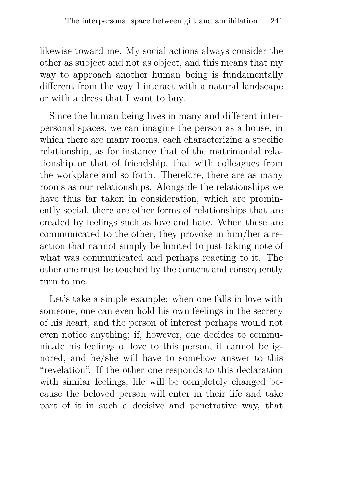likewise toward me. My social actions always consider the other as subject and not as object, and this means that my way to approach another human being is fundamentally different from the way I interact with a natural landscape or with a dress that I want to buy.

Since the human being lives in many and different interpersonal spaces, we can imagine the person as a house, in which there are many rooms, each characterizing a specific relationship, as for instance that of the matrimonial relationship or that of friendship, that with colleagues from the workplace and so forth. Therefore, there are as many rooms as our relationships. Alongside the relationships we have thus far taken in consideration, which are prominently social, there are other forms of relationships that are created by feelings such as love and hate. When these are communicated to the other, they provoke in him/her a reaction that cannot simply be limited to just taking note of what was communicated and perhaps reacting to it. The other one must be touched by the content and consequently turn to me.

Let's take a simple example: when one falls in love with someone, one can even hold his own feelings in the secrecy of his heart, and the person of interest perhaps would not even notice anything; if, however, one decides to communicate his feelings of love to this person, it cannot be ignored, and he/she will have to somehow answer to this "revelation". If the other one responds to this declaration with similar feelings, life will be completely changed because the beloved person will enter in their life and take part of it in such a decisive and penetrative way, that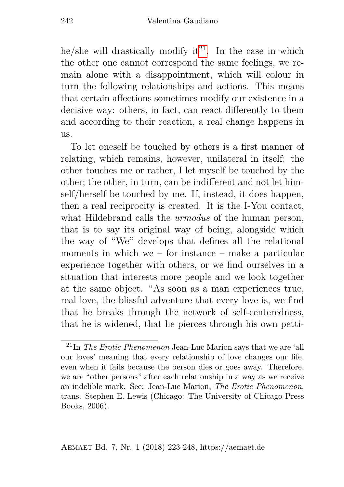he/she will drastically modify it<sup>[21](#page-19-0)</sup>. In the case in which the other one cannot correspond the same feelings, we remain alone with a disappointment, which will colour in turn the following relationships and actions. This means that certain affections sometimes modify our existence in a decisive way: others, in fact, can react differently to them and according to their reaction, a real change happens in us.

To let oneself be touched by others is a first manner of relating, which remains, however, unilateral in itself: the other touches me or rather, I let myself be touched by the other; the other, in turn, can be indifferent and not let himself/herself be touched by me. If, instead, it does happen, then a real reciprocity is created. It is the I-You contact, what Hildebrand calls the *urmodus* of the human person, that is to say its original way of being, alongside which the way of "We" develops that defines all the relational moments in which we – for instance – make a particular experience together with others, or we find ourselves in a situation that interests more people and we look together at the same object. "As soon as a man experiences true, real love, the blissful adventure that every love is, we find that he breaks through the network of self-centeredness, that he is widened, that he pierces through his own petti-

<span id="page-19-0"></span><sup>21</sup>In *The Erotic Phenomenon* Jean-Luc Marion says that we are 'all our loves' meaning that every relationship of love changes our life, even when it fails because the person dies or goes away. Therefore, we are "other persons" after each relationship in a way as we receive an indelible mark. See: Jean-Luc Marion, *The Erotic Phenomenon*, trans. Stephen E. Lewis (Chicago: The University of Chicago Press Books, 2006).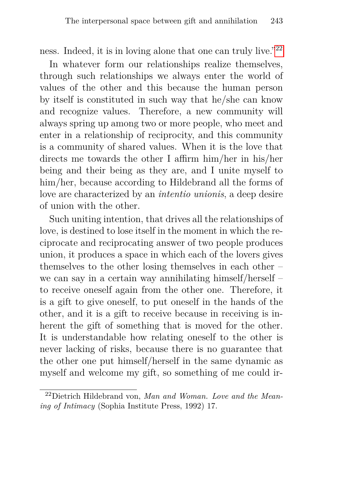ness. Indeed, it is in loving alone that one can truly live."[22](#page-20-0)

In whatever form our relationships realize themselves, through such relationships we always enter the world of values of the other and this because the human person by itself is constituted in such way that he/she can know and recognize values. Therefore, a new community will always spring up among two or more people, who meet and enter in a relationship of reciprocity, and this community is a community of shared values. When it is the love that directs me towards the other I affirm him/her in his/her being and their being as they are, and I unite myself to him/her, because according to Hildebrand all the forms of love are characterized by an *intentio unionis*, a deep desire of union with the other.

Such uniting intention, that drives all the relationships of love, is destined to lose itself in the moment in which the reciprocate and reciprocating answer of two people produces union, it produces a space in which each of the lovers gives themselves to the other losing themselves in each other – we can say in a certain way annihilating himself/herself – to receive oneself again from the other one. Therefore, it is a gift to give oneself, to put oneself in the hands of the other, and it is a gift to receive because in receiving is inherent the gift of something that is moved for the other. It is understandable how relating oneself to the other is never lacking of risks, because there is no guarantee that the other one put himself/herself in the same dynamic as myself and welcome my gift, so something of me could ir-

<span id="page-20-0"></span><sup>22</sup>Dietrich Hildebrand von, *Man and Woman. Love and the Meaning of Intimacy* (Sophia Institute Press, 1992) 17.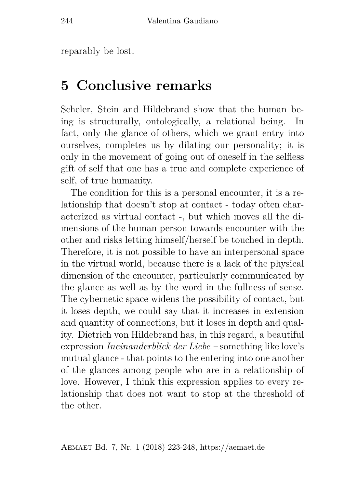reparably be lost.

### **5 Conclusive remarks**

Scheler, Stein and Hildebrand show that the human being is structurally, ontologically, a relational being. In fact, only the glance of others, which we grant entry into ourselves, completes us by dilating our personality; it is only in the movement of going out of oneself in the selfless gift of self that one has a true and complete experience of self, of true humanity.

The condition for this is a personal encounter, it is a relationship that doesn't stop at contact - today often characterized as virtual contact -, but which moves all the dimensions of the human person towards encounter with the other and risks letting himself/herself be touched in depth. Therefore, it is not possible to have an interpersonal space in the virtual world, because there is a lack of the physical dimension of the encounter, particularly communicated by the glance as well as by the word in the fullness of sense. The cybernetic space widens the possibility of contact, but it loses depth, we could say that it increases in extension and quantity of connections, but it loses in depth and quality. Dietrich von Hildebrand has, in this regard, a beautiful expression *Ineinanderblick der Liebe –* something like love's mutual glance - that points to the entering into one another of the glances among people who are in a relationship of love. However, I think this expression applies to every relationship that does not want to stop at the threshold of the other.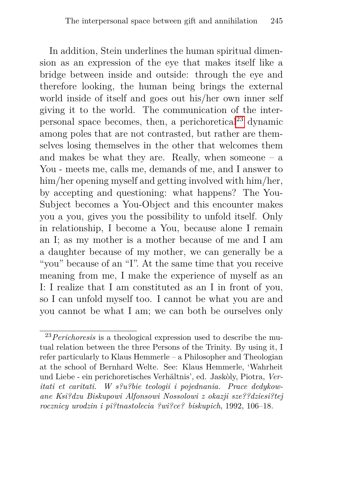In addition, Stein underlines the human spiritual dimension as an expression of the eye that makes itself like a bridge between inside and outside: through the eye and therefore looking, the human being brings the external world inside of itself and goes out his/her own inner self giving it to the world. The communication of the interpersonal space becomes, then, a perichoretical $^{23}$  $^{23}$  $^{23}$  dynamic among poles that are not contrasted, but rather are themselves losing themselves in the other that welcomes them and makes be what they are. Really, when someone  $-$  a You - meets me, calls me, demands of me, and I answer to him/her opening myself and getting involved with him/her, by accepting and questioning: what happens? The You-Subject becomes a You-Object and this encounter makes you a you, gives you the possibility to unfold itself. Only in relationship, I become a You, because alone I remain an I; as my mother is a mother because of me and I am a daughter because of my mother, we can generally be a "you" because of an "I". At the same time that you receive meaning from me, I make the experience of myself as an I: I realize that I am constituted as an I in front of you, so I can unfold myself too. I cannot be what you are and you cannot be what I am; we can both be ourselves only

<span id="page-22-0"></span><sup>23</sup>*Perichoresis* is a theological expression used to describe the mutual relation between the three Persons of the Trinity. By using it, I refer particularly to Klaus Hemmerle – a Philosopher and Theologian at the school of Bernhard Welte. See: Klaus Hemmerle, 'Wahrheit und Liebe - ein perichoretisches Verhältnis', ed. Jaskòly, Piotra, *Veritati et caritati. W s?u?bie teologii i pojednania. Prace dedykowane Ksi?dzu Biskupowi Alfonsowi Nossolowi z okazji sze??dziesi?tej rocznicy urodzin i pi?tnastolecia ?wi?ce? biskupich*, 1992, 106–18.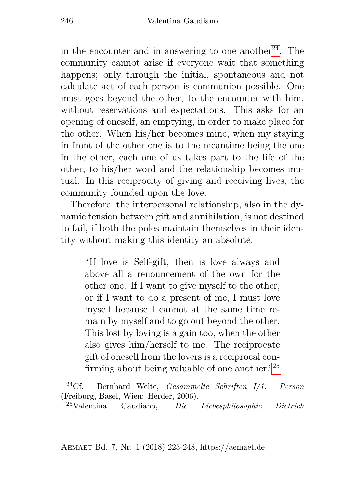in the encounter and in answering to one another<sup>[24](#page-23-0)</sup>. The community cannot arise if everyone wait that something happens; only through the initial, spontaneous and not calculate act of each person is communion possible. One must goes beyond the other, to the encounter with him, without reservations and expectations. This asks for an opening of oneself, an emptying, in order to make place for the other. When his/her becomes mine, when my staying in front of the other one is to the meantime being the one in the other, each one of us takes part to the life of the other, to his/her word and the relationship becomes mutual. In this reciprocity of giving and receiving lives, the community founded upon the love.

Therefore, the interpersonal relationship, also in the dynamic tension between gift and annihilation, is not destined to fail, if both the poles maintain themselves in their identity without making this identity an absolute.

"If love is Self-gift, then is love always and above all a renouncement of the own for the other one. If I want to give myself to the other, or if I want to do a present of me, I must love myself because I cannot at the same time remain by myself and to go out beyond the other. This lost by loving is a gain too, when the other also gives him/herself to me. The reciprocate gift of oneself from the lovers is a reciprocal confirming about being valuable of one another."[25](#page-23-1)

Aemaet Bd. 7, Nr. 1 (2018) 223-248, https://aemaet.de

<span id="page-23-0"></span><sup>24</sup>Cf. Bernhard Welte, *Gesammelte Schriften I/1. Person* (Freiburg, Basel, Wien: Herder, 2006).

<span id="page-23-1"></span><sup>25</sup>Valentina Gaudiano, *Die Liebesphilosophie Dietrich*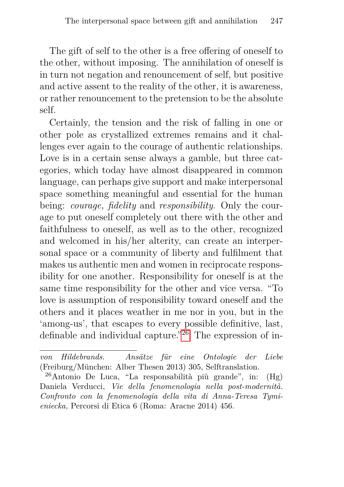The gift of self to the other is a free offering of oneself to the other, without imposing. The annihilation of oneself is in turn not negation and renouncement of self, but positive and active assent to the reality of the other, it is awareness, or rather renouncement to the pretension to be the absolute self.

Certainly, the tension and the risk of falling in one or other pole as crystallized extremes remains and it challenges ever again to the courage of authentic relationships. Love is in a certain sense always a gamble, but three categories, which today have almost disappeared in common language, can perhaps give support and make interpersonal space something meaningful and essential for the human being: *courage, fidelity* and *responsibility*. Only the courage to put oneself completely out there with the other and faithfulness to oneself, as well as to the other, recognized and welcomed in his/her alterity, can create an interpersonal space or a community of liberty and fulfilment that makes us authentic men and women in reciprocate responsibility for one another. Responsibility for oneself is at the same time responsibility for the other and vice versa. "To love is assumption of responsibility toward oneself and the others and it places weather in me nor in you, but in the 'among-us', that escapes to every possible definitive, last, definable and individual capture."[26](#page-24-0) The expression of in-

*von Hildebrands. Ansätze für eine Ontologie der Liebe* (Freiburg/München: Alber Thesen 2013) 305, Selftranslation.

<span id="page-24-0"></span><sup>&</sup>lt;sup>26</sup>Antonio De Luca, "La responsabilità più grande", in:  $(Hg)$ Daniela Verducci, *Vie della fenomenologia nella post-modernità. Confronto con la fenomenologia della vita di Anna-Teresa Tymieniecka,* Percorsi di Etica 6 (Roma: Aracne 2014) 456.